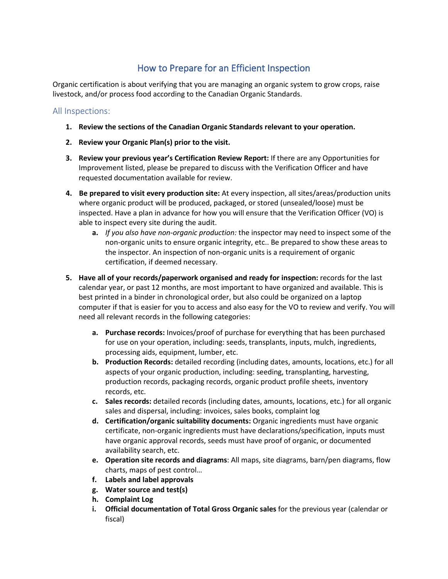## How to Prepare for an Efficient Inspection

Organic certification is about verifying that you are managing an organic system to grow crops, raise livestock, and/or process food according to the Canadian Organic Standards.

## All Inspections:

- **1. Review the sections of the Canadian Organic Standards relevant to your operation.**
- **2. Review your Organic Plan(s) prior to the visit.**
- **3. Review your previous year's Certification Review Report:** If there are any Opportunities for Improvement listed, please be prepared to discuss with the Verification Officer and have requested documentation available for review.
- **4. Be prepared to visit every production site:** At every inspection, all sites/areas/production units where organic product will be produced, packaged, or stored (unsealed/loose) must be inspected. Have a plan in advance for how you will ensure that the Verification Officer (VO) is able to inspect every site during the audit.
	- **a.** *If you also have non-organic production:* the inspector may need to inspect some of the non-organic units to ensure organic integrity, etc.. Be prepared to show these areas to the inspector. An inspection of non-organic units is a requirement of organic certification, if deemed necessary.
- **5. Have all of your records/paperwork organised and ready for inspection:** records for the last calendar year, or past 12 months, are most important to have organized and available. This is best printed in a binder in chronological order, but also could be organized on a laptop computer if that is easier for you to access and also easy for the VO to review and verify. You will need all relevant records in the following categories:
	- **a. Purchase records:** Invoices/proof of purchase for everything that has been purchased for use on your operation, including: seeds, transplants, inputs, mulch, ingredients, processing aids, equipment, lumber, etc.
	- **b. Production Records:** detailed recording (including dates, amounts, locations, etc.) for all aspects of your organic production, including: seeding, transplanting, harvesting, production records, packaging records, organic product profile sheets, inventory records, etc.
	- **c. Sales records:** detailed records (including dates, amounts, locations, etc.) for all organic sales and dispersal, including: invoices, sales books, complaint log
	- **d. Certification/organic suitability documents:** Organic ingredients must have organic certificate, non-organic ingredients must have declarations/specification, inputs must have organic approval records, seeds must have proof of organic, or documented availability search, etc.
	- **e. Operation site records and diagrams**: All maps, site diagrams, barn/pen diagrams, flow charts, maps of pest control…
	- **f. Labels and label approvals**
	- **g. Water source and test(s)**
	- **h. Complaint Log**
	- **i. Official documentation of Total Gross Organic sales** for the previous year (calendar or fiscal)